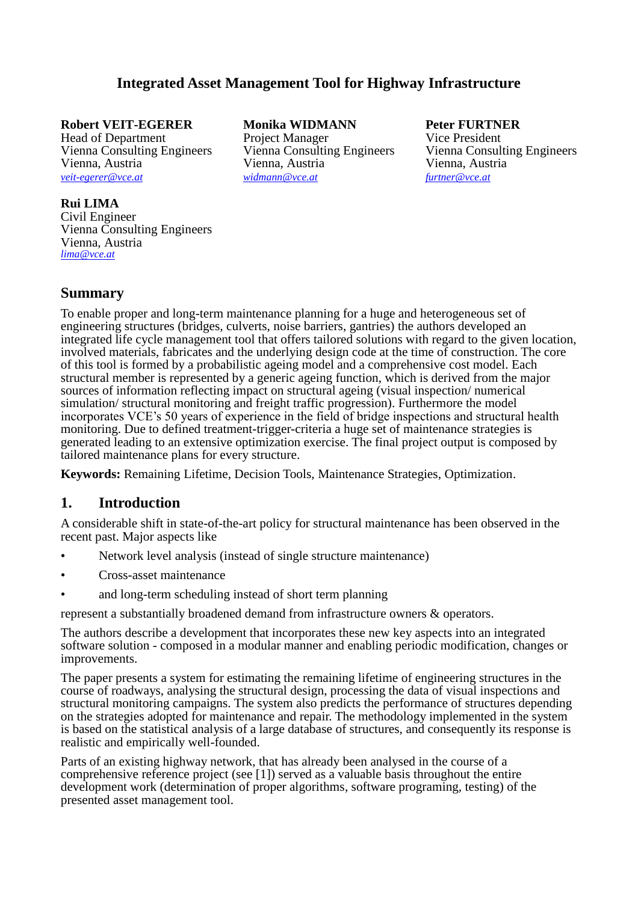# **Integrated Asset Management Tool for Highway Infrastructure**

**Robert VEIT-EGERER** 

Head of Department Vienna Consulting Engineers Vienna, Austria *[veit-egerer@vce.at](mailto:veit-egerer@vce.at)*

**Monika WIDMANN**  Project Manager Vienna Consulting Engineers Vienna, Austria *[widmann@vce.at](mailto:widmann@vce.at)*

**Peter FURTNER** Vice President Vienna Consulting Engineers Vienna, Austria *[furtner@vce.at](mailto:furtner@vce.at)*

#### **Rui LIMA**

Civil Engineer Vienna Consulting Engineers Vienna, Austria *[lima@vce.at](mailto:lima@vce.at)*

## **Summary**

To enable proper and long-term maintenance planning for a huge and heterogeneous set of engineering structures (bridges, culverts, noise barriers, gantries) the authors developed an integrated life cycle management tool that offers tailored solutions with regard to the given location, involved materials, fabricates and the underlying design code at the time of construction. The core of this tool is formed by a probabilistic ageing model and a comprehensive cost model. Each structural member is represented by a generic ageing function, which is derived from the major sources of information reflecting impact on structural ageing (visual inspection/ numerical simulation/ structural monitoring and freight traffic progression). Furthermore the model incorporates VCE's 50 years of experience in the field of bridge inspections and structural health monitoring. Due to defined treatment-trigger-criteria a huge set of maintenance strategies is generated leading to an extensive optimization exercise. The final project output is composed by tailored maintenance plans for every structure.

**Keywords:** Remaining Lifetime, Decision Tools, Maintenance Strategies, Optimization.

### **1. Introduction**

A considerable shift in state-of-the-art policy for structural maintenance has been observed in the recent past. Major aspects like

- Network level analysis (instead of single structure maintenance)
- Cross-asset maintenance
- and long-term scheduling instead of short term planning

represent a substantially broadened demand from infrastructure owners & operators.

The authors describe a development that incorporates these new key aspects into an integrated software solution - composed in a modular manner and enabling periodic modification, changes or improvements.

The paper presents a system for estimating the remaining lifetime of engineering structures in the course of roadways, analysing the structural design, processing the data of visual inspections and structural monitoring campaigns. The system also predicts the performance of structures depending on the strategies adopted for maintenance and repair. The methodology implemented in the system is based on the statistical analysis of a large database of structures, and consequently its response is realistic and empirically well-founded.

Parts of an existing highway network, that has already been analysed in the course of a comprehensive reference project (see [1]) served as a valuable basis throughout the entire development work (determination of proper algorithms, software programing, testing) of the presented asset management tool.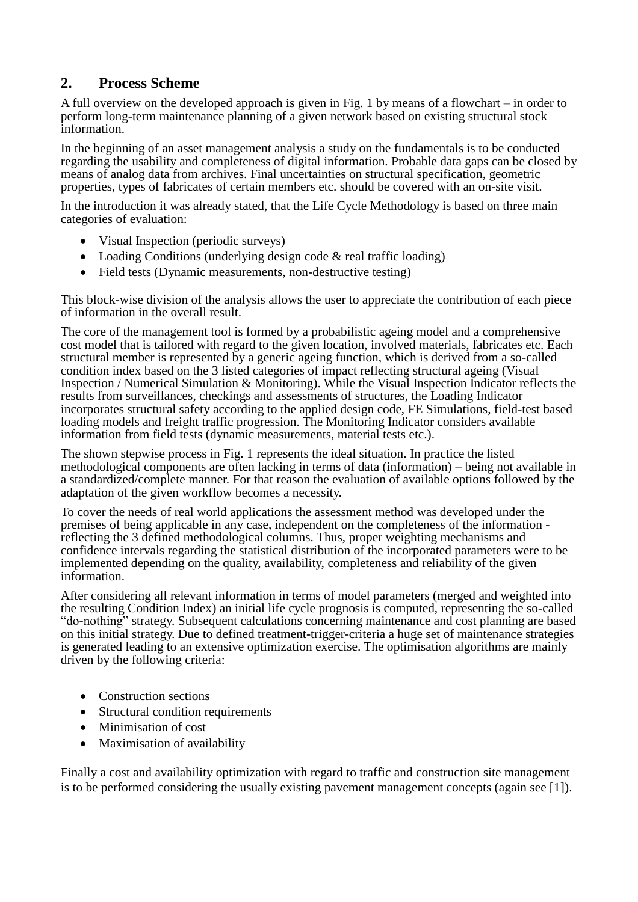# **2. Process Scheme**

A full overview on the developed approach is given in Fig. 1 by means of a flowchart – in order to perform long-term maintenance planning of a given network based on existing structural stock information.

In the beginning of an asset management analysis a study on the fundamentals is to be conducted regarding the usability and completeness of digital information. Probable data gaps can be closed by means of analog data from archives. Final uncertainties on structural specification, geometric properties, types of fabricates of certain members etc. should be covered with an on-site visit.

In the introduction it was already stated, that the Life Cycle Methodology is based on three main categories of evaluation:

- Visual Inspection (periodic surveys)
- Loading Conditions (underlying design code & real traffic loading)
- Field tests (Dynamic measurements, non-destructive testing)

This block-wise division of the analysis allows the user to appreciate the contribution of each piece of information in the overall result.

The core of the management tool is formed by a probabilistic ageing model and a comprehensive cost model that is tailored with regard to the given location, involved materials, fabricates etc. Each structural member is represented by a generic ageing function, which is derived from a so-called condition index based on the 3 listed categories of impact reflecting structural ageing (Visual Inspection / Numerical Simulation & Monitoring). While the Visual Inspection Indicator reflects the results from surveillances, checkings and assessments of structures, the Loading Indicator incorporates structural safety according to the applied design code, FE Simulations, field-test based loading models and freight traffic progression. The Monitoring Indicator considers available information from field tests (dynamic measurements, material tests etc.).

The shown stepwise process in Fig. 1 represents the ideal situation. In practice the listed methodological components are often lacking in terms of data (information) – being not available in a standardized/complete manner. For that reason the evaluation of available options followed by the adaptation of the given workflow becomes a necessity.

To cover the needs of real world applications the assessment method was developed under the premises of being applicable in any case, independent on the completeness of the information reflecting the 3 defined methodological columns. Thus, proper weighting mechanisms and confidence intervals regarding the statistical distribution of the incorporated parameters were to be implemented depending on the quality, availability, completeness and reliability of the given information.

After considering all relevant information in terms of model parameters (merged and weighted into the resulting Condition Index) an initial life cycle prognosis is computed, representing the so-called "do-nothing" strategy. Subsequent calculations concerning maintenance and cost planning are based on this initial strategy. Due to defined treatment-trigger-criteria a huge set of maintenance strategies is generated leading to an extensive optimization exercise. The optimisation algorithms are mainly driven by the following criteria:

- Construction sections
- Structural condition requirements
- Minimisation of cost
- Maximisation of availability

Finally a cost and availability optimization with regard to traffic and construction site management is to be performed considering the usually existing pavement management concepts (again see [1]).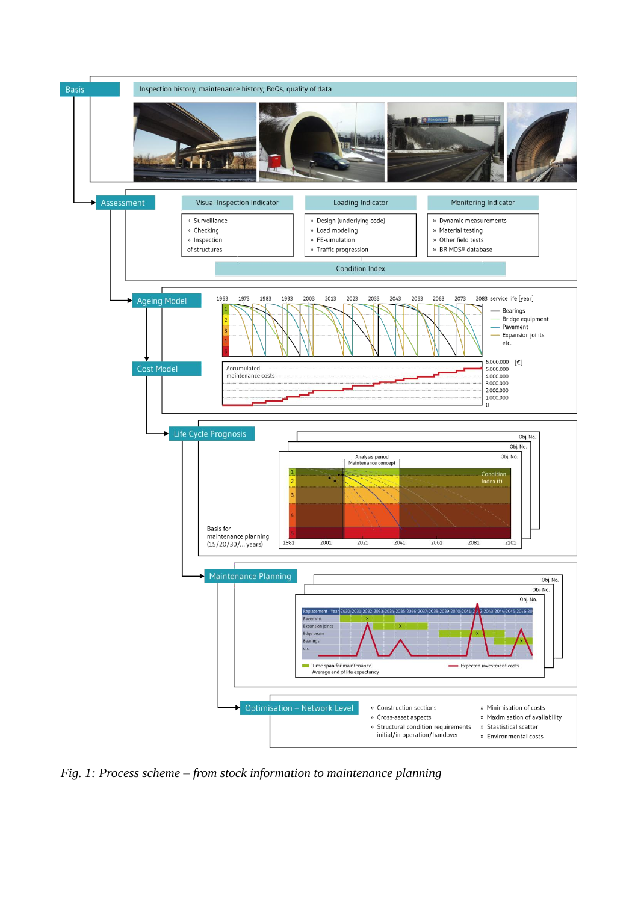

*Fig. 1: Process scheme – from stock information to maintenance planning*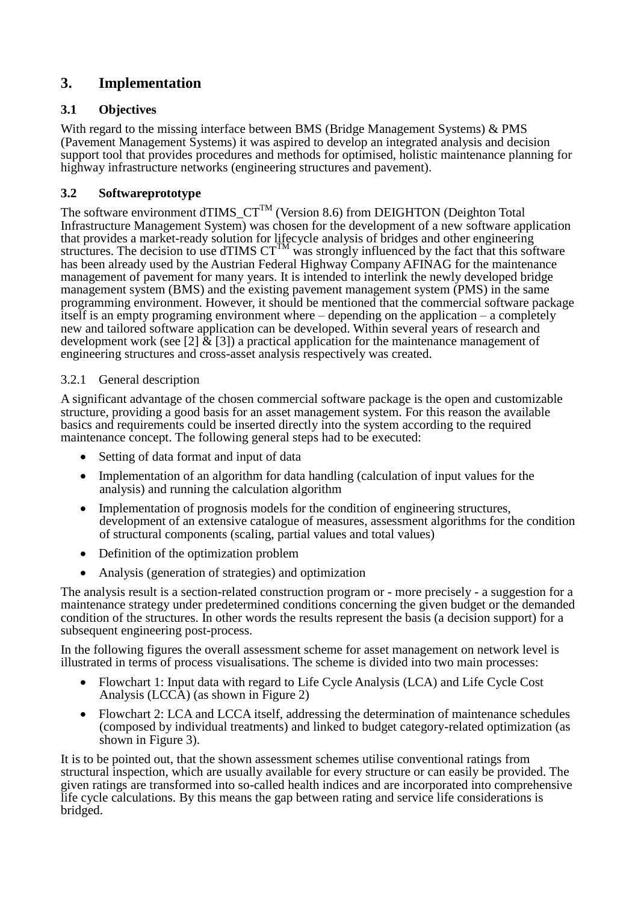# **3. Implementation**

### **3.1 Objectives**

With regard to the missing interface between BMS (Bridge Management Systems) & PMS (Pavement Management Systems) it was aspired to develop an integrated analysis and decision support tool that provides procedures and methods for optimised, holistic maintenance planning for highway infrastructure networks (engineering structures and pavement).

### **3.2 Softwareprototype**

The software environment dTIMS\_ $CT^{TM}$  (Version 8.6) from DEIGHTON (Deighton Total Infrastructure Management System) was chosen for the development of a new software application that provides a market-ready solution for lifecycle analysis of bridges and other engineering structures. The decision to use dTIMS  $CT^{TM}$  was strongly influenced by the fact that this software has been already used by the Austrian Federal Highway Company AFINAG for the maintenance management of pavement for many years. It is intended to interlink the newly developed bridge management system (BMS) and the existing pavement management system (PMS) in the same programming environment. However, it should be mentioned that the commercial software package itself is an empty programing environment where – depending on the application – a completely new and tailored software application can be developed. Within several years of research and development work (see [2]  $\&$  [3]) a practical application for the maintenance management of engineering structures and cross-asset analysis respectively was created.

#### 3.2.1 General description

A significant advantage of the chosen commercial software package is the open and customizable structure, providing a good basis for an asset management system. For this reason the available basics and requirements could be inserted directly into the system according to the required maintenance concept. The following general steps had to be executed:

- Setting of data format and input of data
- Implementation of an algorithm for data handling (calculation of input values for the analysis) and running the calculation algorithm
- Implementation of prognosis models for the condition of engineering structures, development of an extensive catalogue of measures, assessment algorithms for the condition of structural components (scaling, partial values and total values)
- Definition of the optimization problem
- Analysis (generation of strategies) and optimization

The analysis result is a section-related construction program or - more precisely - a suggestion for a maintenance strategy under predetermined conditions concerning the given budget or the demanded condition of the structures. In other words the results represent the basis (a decision support) for a subsequent engineering post-process.

In the following figures the overall assessment scheme for asset management on network level is illustrated in terms of process visualisations. The scheme is divided into two main processes:

- Flowchart 1: Input data with regard to Life Cycle Analysis (LCA) and Life Cycle Cost Analysis (LCCA) (as shown in Figure 2)
- Flowchart 2: LCA and LCCA itself, addressing the determination of maintenance schedules (composed by individual treatments) and linked to budget category-related optimization (as shown in Figure 3).

It is to be pointed out, that the shown assessment schemes utilise conventional ratings from structural inspection, which are usually available for every structure or can easily be provided. The given ratings are transformed into so-called health indices and are incorporated into comprehensive life cycle calculations. By this means the gap between rating and service life considerations is bridged.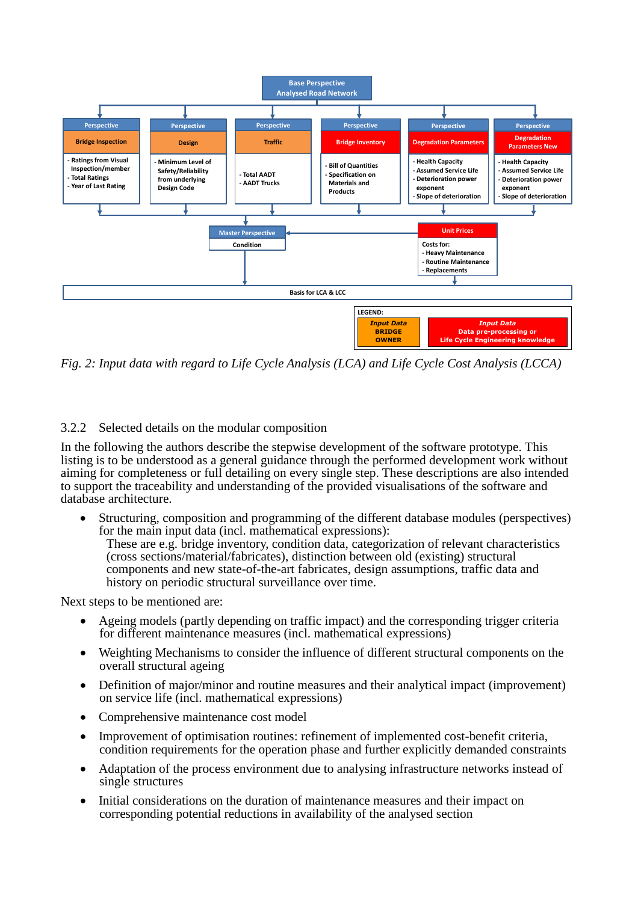

*Fig. 2: Input data with regard to Life Cycle Analysis (LCA) and Life Cycle Cost Analysis (LCCA)*

#### 3.2.2 Selected details on the modular composition

In the following the authors describe the stepwise development of the software prototype. This listing is to be understood as a general guidance through the performed development work without aiming for completeness or full detailing on every single step. These descriptions are also intended to support the traceability and understanding of the provided visualisations of the software and database architecture.

 Structuring, composition and programming of the different database modules (perspectives) for the main input data (incl. mathematical expressions):

These are e.g. bridge inventory, condition data, categorization of relevant characteristics (cross sections/material/fabricates), distinction between old (existing) structural components and new state-of-the-art fabricates, design assumptions, traffic data and history on periodic structural surveillance over time.

Next steps to be mentioned are:

- Ageing models (partly depending on traffic impact) and the corresponding trigger criteria for different maintenance measures (incl. mathematical expressions)
- Weighting Mechanisms to consider the influence of different structural components on the overall structural ageing
- Definition of major/minor and routine measures and their analytical impact (improvement) on service life (incl. mathematical expressions)
- Comprehensive maintenance cost model
- Improvement of optimisation routines: refinement of implemented cost-benefit criteria, explicitly demanded constraints for the operation phase and further explicitly demanded constraints
- Adaptation of the process environment due to analysing infrastructure networks instead of single structures
- Initial considerations on the duration of maintenance measures and their impact on corresponding potential reductions in availability of the analysed section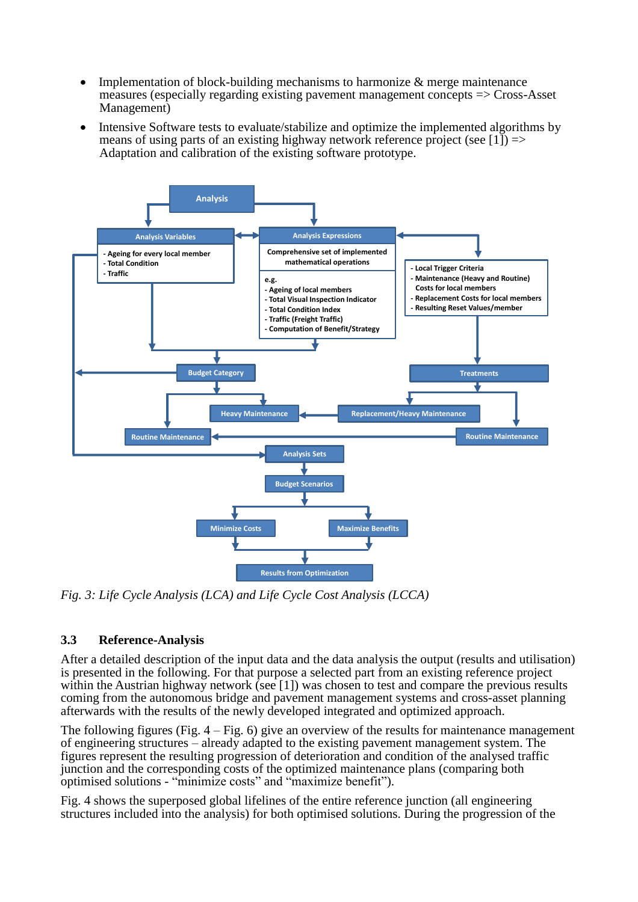- Implementation of block-building mechanisms to harmonize & merge maintenance measures (especially regarding existing pavement management concepts => Cross-Asset Management)
- Intensive Software tests to evaluate/stabilize and optimize the implemented algorithms by means of using parts of an existing highway network reference project (see [1])  $\Rightarrow$ Adaptation and calibration of the existing software prototype.



*Fig. 3: Life Cycle Analysis (LCA) and Life Cycle Cost Analysis (LCCA)*

#### **3.3 Reference-Analysis**

After a detailed description of the input data and the data analysis the output (results and utilisation) is presented in the following. For that purpose a selected part from an existing reference project within the Austrian highway network (see [1]) was chosen to test and compare the previous results coming from the autonomous bridge and pavement management systems and cross-asset planning afterwards with the results of the newly developed integrated and optimized approach.

The following figures (Fig.  $4 - Fig. 6$ ) give an overview of the results for maintenance management of engineering structures – already adapted to the existing pavement management system. The figures represent the resulting progression of deterioration and condition of the analysed traffic junction and the corresponding costs of the optimized maintenance plans (comparing both optimised solutions - "minimize costs" and "maximize benefit").

Fig. 4 shows the superposed global lifelines of the entire reference junction (all engineering structures included into the analysis) for both optimised solutions. During the progression of the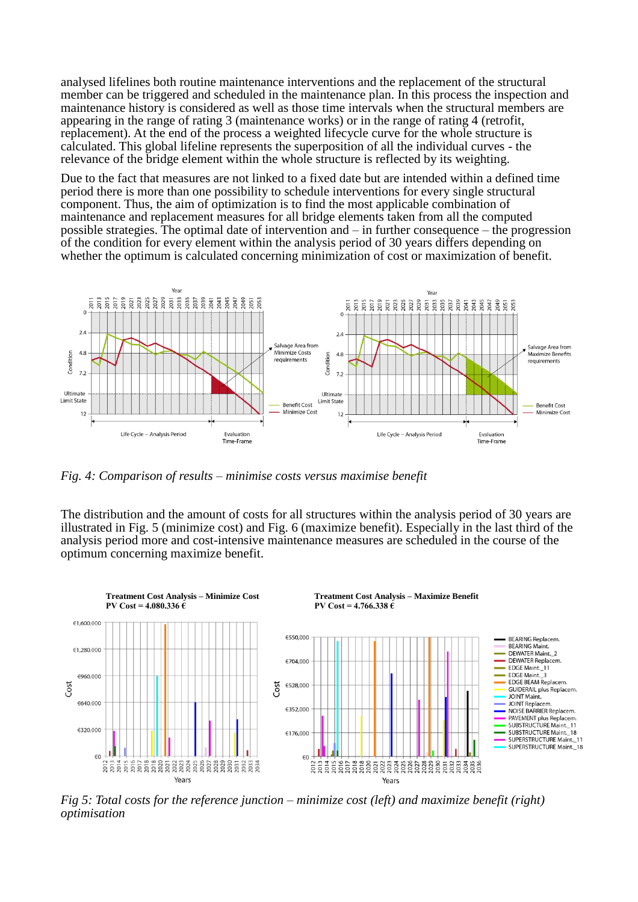analysed lifelines both routine maintenance interventions and the replacement of the structural member can be triggered and scheduled in the maintenance plan. In this process the inspection and maintenance history is considered as well as those time intervals when the structural members are appearing in the range of rating 3 (maintenance works) or in the range of rating 4 (retrofit, replacement). At the end of the process a weighted lifecycle curve for the whole structure is calculated. This global lifeline represents the superposition of all the individual curves - the relevance of the bridge element within the whole structure is reflected by its weighting.

Due to the fact that measures are not linked to a fixed date but are intended within a defined time period there is more than one possibility to schedule interventions for every single structural component. Thus, the aim of optimization is to find the most applicable combination of maintenance and replacement measures for all bridge elements taken from all the computed possible strategies. The optimal date of intervention and – in further consequence – the progression of the condition for every element within the analysis period of 30 years differs depending on whether the optimum is calculated concerning minimization of cost or maximization of benefit.



*Fig. 4: Comparison of results – minimise costs versus maximise benefit*

The distribution and the amount of costs for all structures within the analysis period of 30 years are illustrated in Fig. 5 (minimize cost) and Fig. 6 (maximize benefit). Especially in the last third of the analysis period more and cost-intensive maintenance measures are scheduled in the course of the optimum concerning maximize benefit.



*Fig 5: Total costs for the reference junction – minimize cost (left) and maximize benefit (right) optimisation*